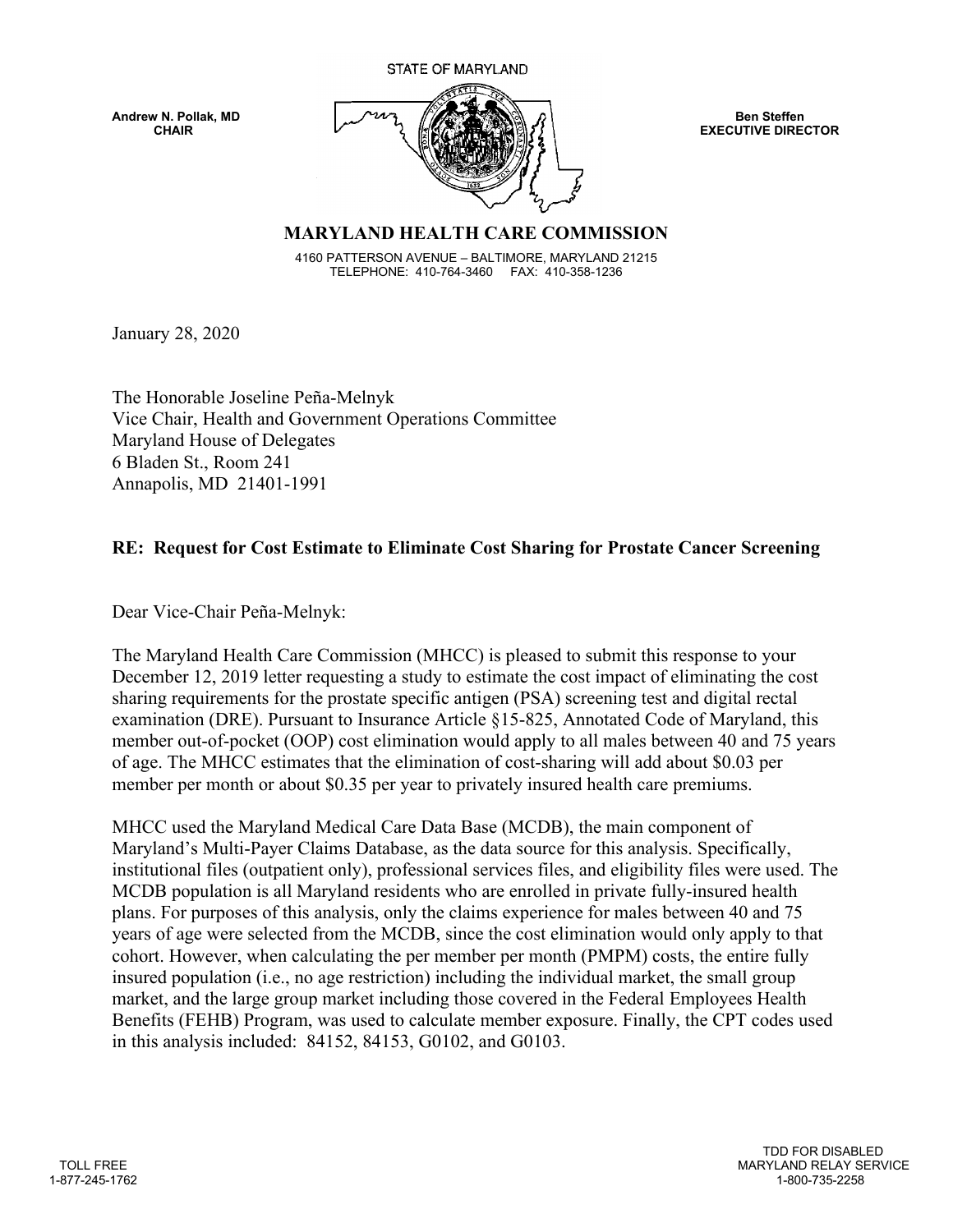**STATE OF MARYLAND** 



**EXECUTIVE DIRECTOR** 

## **MARYLAND HEALTH CARE COMMISSION**

4160 PATTERSON AVENUE – BALTIMORE, MARYLAND 21215 TELEPHONE: 410-764-3460 FAX: 410-358-1236

January 28, 2020

The Honorable Joseline Peña-Melnyk Vice Chair, Health and Government Operations Committee Maryland House of Delegates 6 Bladen St., Room 241 Annapolis, MD 21401-1991

## **RE: Request for Cost Estimate to Eliminate Cost Sharing for Prostate Cancer Screening**

Dear Vice-Chair Peña-Melnyk:

The Maryland Health Care Commission (MHCC) is pleased to submit this response to your December 12, 2019 letter requesting a study to estimate the cost impact of eliminating the cost sharing requirements for the prostate specific antigen (PSA) screening test and digital rectal examination (DRE). Pursuant to Insurance Article §15-825, Annotated Code of Maryland, this member out-of-pocket (OOP) cost elimination would apply to all males between 40 and 75 years of age. The MHCC estimates that the elimination of cost-sharing will add about \$0.03 per member per month or about \$0.35 per year to privately insured health care premiums.

MHCC used the Maryland Medical Care Data Base (MCDB), the main component of Maryland's Multi-Payer Claims Database, as the data source for this analysis. Specifically, institutional files (outpatient only), professional services files, and eligibility files were used. The MCDB population is all Maryland residents who are enrolled in private fully-insured health plans. For purposes of this analysis, only the claims experience for males between 40 and 75 years of age were selected from the MCDB, since the cost elimination would only apply to that cohort. However, when calculating the per member per month (PMPM) costs, the entire fully insured population (i.e., no age restriction) including the individual market, the small group market, and the large group market including those covered in the Federal Employees Health Benefits (FEHB) Program, was used to calculate member exposure. Finally, the CPT codes used in this analysis included: 84152, 84153, G0102, and G0103.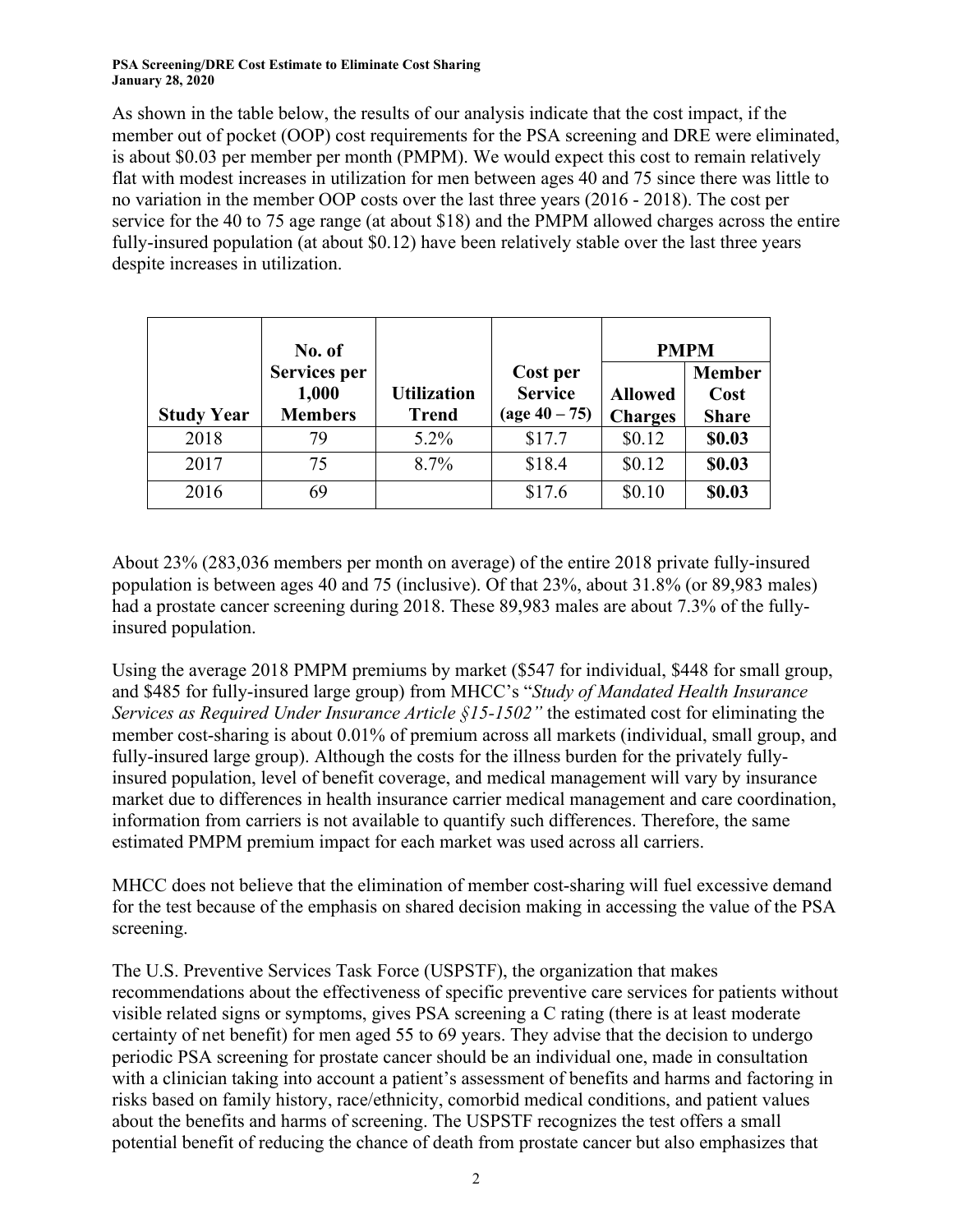## **PSA Screening/DRE Cost Estimate to Eliminate Cost Sharing January 28, 2020**

As shown in the table below, the results of our analysis indicate that the cost impact, if the member out of pocket (OOP) cost requirements for the PSA screening and DRE were eliminated, is about \$0.03 per member per month (PMPM). We would expect this cost to remain relatively flat with modest increases in utilization for men between ages 40 and 75 since there was little to no variation in the member OOP costs over the last three years (2016 - 2018). The cost per service for the 40 to 75 age range (at about \$18) and the PMPM allowed charges across the entire fully-insured population (at about \$0.12) have been relatively stable over the last three years despite increases in utilization.

|                   | No. of                                  |                                    |                                                      | <b>PMPM</b>                      |                                       |
|-------------------|-----------------------------------------|------------------------------------|------------------------------------------------------|----------------------------------|---------------------------------------|
| <b>Study Year</b> | Services per<br>1,000<br><b>Members</b> | <b>Utilization</b><br><b>Trend</b> | Cost per<br><b>Service</b><br>$(\text{age }40 - 75)$ | <b>Allowed</b><br><b>Charges</b> | <b>Member</b><br>Cost<br><b>Share</b> |
| 2018              | 79                                      | $5.2\%$                            | \$17.7                                               | \$0.12                           | \$0.03                                |
| 2017              | 75                                      | 8.7%                               | \$18.4                                               | \$0.12                           | \$0.03                                |
| 2016              | 69                                      |                                    | \$17.6                                               | \$0.10                           | \$0.03                                |

About 23% (283,036 members per month on average) of the entire 2018 private fully-insured population is between ages 40 and 75 (inclusive). Of that 23%, about 31.8% (or 89,983 males) had a prostate cancer screening during 2018. These 89,983 males are about 7.3% of the fullyinsured population.

Using the average 2018 PMPM premiums by market (\$547 for individual, \$448 for small group, and \$485 for fully-insured large group) from MHCC's "*Study of Mandated Health Insurance Services as Required Under Insurance Article §15-1502"* the estimated cost for eliminating the member cost-sharing is about 0.01% of premium across all markets (individual, small group, and fully-insured large group). Although the costs for the illness burden for the privately fullyinsured population, level of benefit coverage, and medical management will vary by insurance market due to differences in health insurance carrier medical management and care coordination, information from carriers is not available to quantify such differences. Therefore, the same estimated PMPM premium impact for each market was used across all carriers.

MHCC does not believe that the elimination of member cost-sharing will fuel excessive demand for the test because of the emphasis on shared decision making in accessing the value of the PSA screening.

The U.S. Preventive Services Task Force (USPSTF), the organization that makes recommendations about the effectiveness of specific preventive care services for patients without visible related signs or symptoms, gives PSA screening a C rating (there is at least moderate certainty of net benefit) for men aged 55 to 69 years. They advise that the decision to undergo periodic PSA screening for prostate cancer should be an individual one, made in consultation with a clinician taking into account a patient's assessment of benefits and harms and factoring in risks based on family history, race/ethnicity, comorbid medical conditions, and patient values about the benefits and harms of screening. The USPSTF recognizes the test offers a small potential benefit of reducing the chance of death from prostate cancer but also emphasizes that